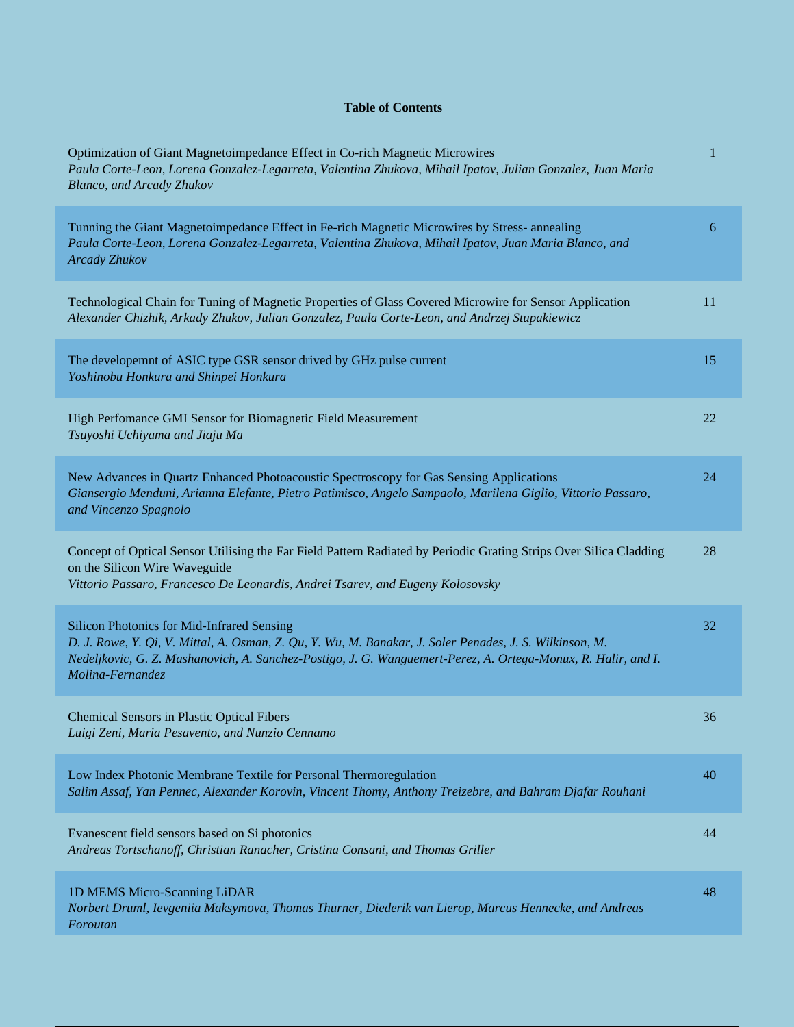## **Table of Contents**

| Optimization of Giant Magnetoimpedance Effect in Co-rich Magnetic Microwires<br>Paula Corte-Leon, Lorena Gonzalez-Legarreta, Valentina Zhukova, Mihail Ipatov, Julian Gonzalez, Juan Maria<br>Blanco, and Arcady Zhukov                                                                    | 1  |
|--------------------------------------------------------------------------------------------------------------------------------------------------------------------------------------------------------------------------------------------------------------------------------------------|----|
| Tunning the Giant Magnetoimpedance Effect in Fe-rich Magnetic Microwires by Stress- annealing<br>Paula Corte-Leon, Lorena Gonzalez-Legarreta, Valentina Zhukova, Mihail Ipatov, Juan Maria Blanco, and<br><b>Arcady Zhukov</b>                                                             | 6  |
| Technological Chain for Tuning of Magnetic Properties of Glass Covered Microwire for Sensor Application<br>Alexander Chizhik, Arkady Zhukov, Julian Gonzalez, Paula Corte-Leon, and Andrzej Stupakiewicz                                                                                   | 11 |
| The developemnt of ASIC type GSR sensor drived by GHz pulse current<br>Yoshinobu Honkura and Shinpei Honkura                                                                                                                                                                               | 15 |
| High Perfomance GMI Sensor for Biomagnetic Field Measurement<br>Tsuyoshi Uchiyama and Jiaju Ma                                                                                                                                                                                             | 22 |
| New Advances in Quartz Enhanced Photoacoustic Spectroscopy for Gas Sensing Applications<br>Giansergio Menduni, Arianna Elefante, Pietro Patimisco, Angelo Sampaolo, Marilena Giglio, Vittorio Passaro,<br>and Vincenzo Spagnolo                                                            | 24 |
| Concept of Optical Sensor Utilising the Far Field Pattern Radiated by Periodic Grating Strips Over Silica Cladding<br>on the Silicon Wire Waveguide<br>Vittorio Passaro, Francesco De Leonardis, Andrei Tsarev, and Eugeny Kolosovsky                                                      | 28 |
| Silicon Photonics for Mid-Infrared Sensing<br>D. J. Rowe, Y. Qi, V. Mittal, A. Osman, Z. Qu, Y. Wu, M. Banakar, J. Soler Penades, J. S. Wilkinson, M.<br>Nedeljkovic, G. Z. Mashanovich, A. Sanchez-Postigo, J. G. Wanguemert-Perez, A. Ortega-Monux, R. Halir, and I.<br>Molina-Fernandez | 32 |
| <b>Chemical Sensors in Plastic Optical Fibers</b><br>Luigi Zeni, Maria Pesavento, and Nunzio Cennamo                                                                                                                                                                                       | 36 |
| Low Index Photonic Membrane Textile for Personal Thermoregulation<br>Salim Assaf, Yan Pennec, Alexander Korovin, Vincent Thomy, Anthony Treizebre, and Bahram Djafar Rouhani                                                                                                               | 40 |
| Evanescent field sensors based on Si photonics<br>Andreas Tortschanoff, Christian Ranacher, Cristina Consani, and Thomas Griller                                                                                                                                                           | 44 |
| 1D MEMS Micro-Scanning LiDAR<br>Norbert Druml, Ievgeniia Maksymova, Thomas Thurner, Diederik van Lierop, Marcus Hennecke, and Andreas<br>Foroutan                                                                                                                                          | 48 |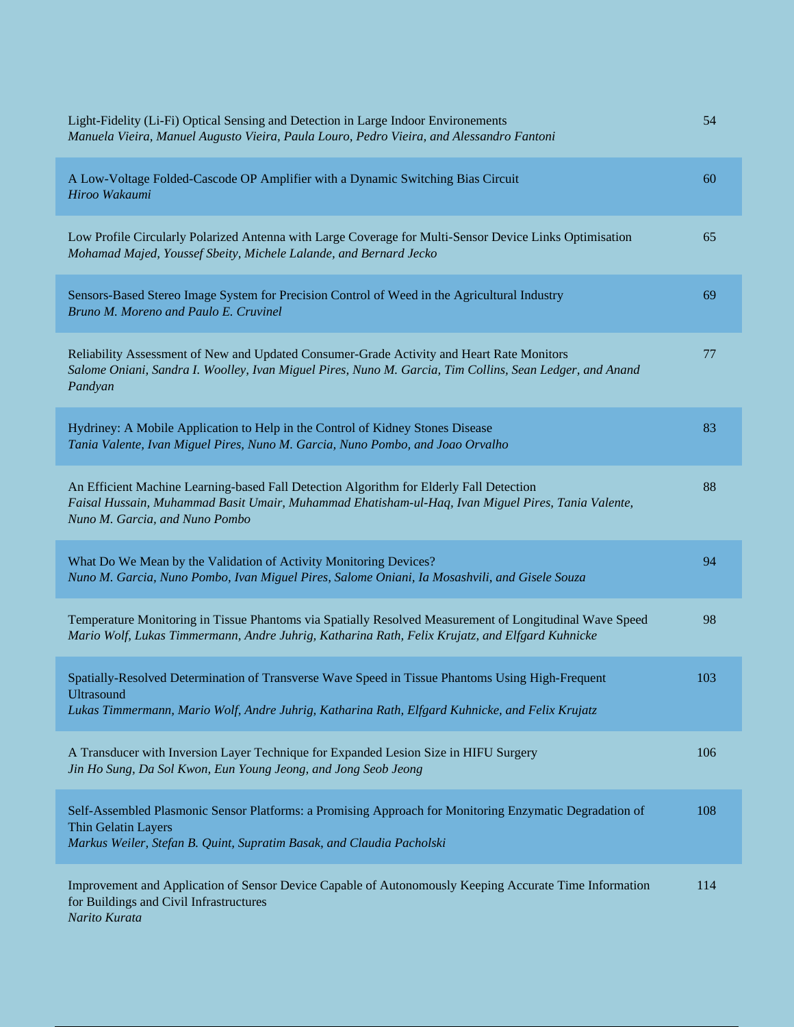| Light-Fidelity (Li-Fi) Optical Sensing and Detection in Large Indoor Environements<br>Manuela Vieira, Manuel Augusto Vieira, Paula Louro, Pedro Vieira, and Alessandro Fantoni                                                  | 54  |
|---------------------------------------------------------------------------------------------------------------------------------------------------------------------------------------------------------------------------------|-----|
| A Low-Voltage Folded-Cascode OP Amplifier with a Dynamic Switching Bias Circuit<br>Hiroo Wakaumi                                                                                                                                | 60  |
| Low Profile Circularly Polarized Antenna with Large Coverage for Multi-Sensor Device Links Optimisation<br>Mohamad Majed, Youssef Sbeity, Michele Lalande, and Bernard Jecko                                                    | 65  |
| Sensors-Based Stereo Image System for Precision Control of Weed in the Agricultural Industry<br>Bruno M. Moreno and Paulo E. Cruvinel                                                                                           | 69  |
| Reliability Assessment of New and Updated Consumer-Grade Activity and Heart Rate Monitors<br>Salome Oniani, Sandra I. Woolley, Ivan Miguel Pires, Nuno M. Garcia, Tim Collins, Sean Ledger, and Anand<br>Pandyan                | 77  |
| Hydriney: A Mobile Application to Help in the Control of Kidney Stones Disease<br>Tania Valente, Ivan Miguel Pires, Nuno M. Garcia, Nuno Pombo, and Joao Orvalho                                                                | 83  |
| An Efficient Machine Learning-based Fall Detection Algorithm for Elderly Fall Detection<br>Faisal Hussain, Muhammad Basit Umair, Muhammad Ehatisham-ul-Haq, Ivan Miguel Pires, Tania Valente,<br>Nuno M. Garcia, and Nuno Pombo | 88  |
| What Do We Mean by the Validation of Activity Monitoring Devices?<br>Nuno M. Garcia, Nuno Pombo, Ivan Miguel Pires, Salome Oniani, Ia Mosashvili, and Gisele Souza                                                              | 94  |
| Temperature Monitoring in Tissue Phantoms via Spatially Resolved Measurement of Longitudinal Wave Speed<br>Mario Wolf, Lukas Timmermann, Andre Juhrig, Katharina Rath, Felix Krujatz, and Elfgard Kuhnicke                      | 98  |
| Spatially-Resolved Determination of Transverse Wave Speed in Tissue Phantoms Using High-Frequent<br><b>Ultrasound</b><br>Lukas Timmermann, Mario Wolf, Andre Juhrig, Katharina Rath, Elfgard Kuhnicke, and Felix Krujatz        | 103 |
| A Transducer with Inversion Layer Technique for Expanded Lesion Size in HIFU Surgery<br>Jin Ho Sung, Da Sol Kwon, Eun Young Jeong, and Jong Seob Jeong                                                                          | 106 |
| Self-Assembled Plasmonic Sensor Platforms: a Promising Approach for Monitoring Enzymatic Degradation of<br>Thin Gelatin Layers<br>Markus Weiler, Stefan B. Quint, Supratim Basak, and Claudia Pacholski                         | 108 |
| Improvement and Application of Sensor Device Capable of Autonomously Keeping Accurate Time Information<br>for Buildings and Civil Infrastructures<br>Narito Kurata                                                              | 114 |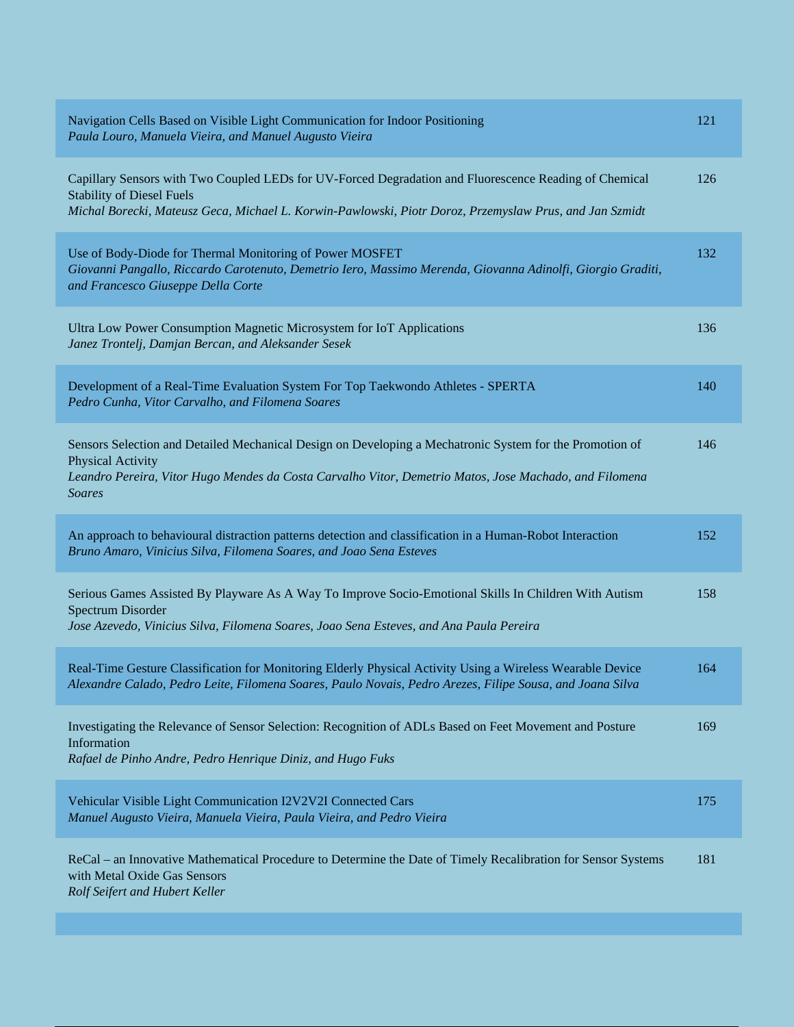| Navigation Cells Based on Visible Light Communication for Indoor Positioning<br>Paula Louro, Manuela Vieira, and Manuel Augusto Vieira                                                                                                                   | 121 |
|----------------------------------------------------------------------------------------------------------------------------------------------------------------------------------------------------------------------------------------------------------|-----|
| Capillary Sensors with Two Coupled LEDs for UV-Forced Degradation and Fluorescence Reading of Chemical<br><b>Stability of Diesel Fuels</b><br>Michal Borecki, Mateusz Geca, Michael L. Korwin-Pawlowski, Piotr Doroz, Przemyslaw Prus, and Jan Szmidt    | 126 |
| Use of Body-Diode for Thermal Monitoring of Power MOSFET<br>Giovanni Pangallo, Riccardo Carotenuto, Demetrio Iero, Massimo Merenda, Giovanna Adinolfi, Giorgio Graditi,<br>and Francesco Giuseppe Della Corte                                            | 132 |
| Ultra Low Power Consumption Magnetic Microsystem for IoT Applications<br>Janez Trontelj, Damjan Bercan, and Aleksander Sesek                                                                                                                             | 136 |
| Development of a Real-Time Evaluation System For Top Taekwondo Athletes - SPERTA<br>Pedro Cunha, Vitor Carvalho, and Filomena Soares                                                                                                                     | 140 |
| Sensors Selection and Detailed Mechanical Design on Developing a Mechatronic System for the Promotion of<br>Physical Activity<br>Leandro Pereira, Vitor Hugo Mendes da Costa Carvalho Vitor, Demetrio Matos, Jose Machado, and Filomena<br><b>Soares</b> | 146 |
| An approach to behavioural distraction patterns detection and classification in a Human-Robot Interaction<br>Bruno Amaro, Vinicius Silva, Filomena Soares, and Joao Sena Esteves                                                                         | 152 |
| Serious Games Assisted By Playware As A Way To Improve Socio-Emotional Skills In Children With Autism<br>Spectrum Disorder<br>Jose Azevedo, Vinicius Silva, Filomena Soares, Joao Sena Esteves, and Ana Paula Pereira                                    | 158 |
| Real-Time Gesture Classification for Monitoring Elderly Physical Activity Using a Wireless Wearable Device<br>Alexandre Calado, Pedro Leite, Filomena Soares, Paulo Novais, Pedro Arezes, Filipe Sousa, and Joana Silva                                  | 164 |
| Investigating the Relevance of Sensor Selection: Recognition of ADLs Based on Feet Movement and Posture<br>Information<br>Rafael de Pinho Andre, Pedro Henrique Diniz, and Hugo Fuks                                                                     | 169 |
| Vehicular Visible Light Communication I2V2V2I Connected Cars<br>Manuel Augusto Vieira, Manuela Vieira, Paula Vieira, and Pedro Vieira                                                                                                                    | 175 |
| ReCal – an Innovative Mathematical Procedure to Determine the Date of Timely Recalibration for Sensor Systems<br>with Metal Oxide Gas Sensors<br>Rolf Seifert and Hubert Keller                                                                          | 181 |